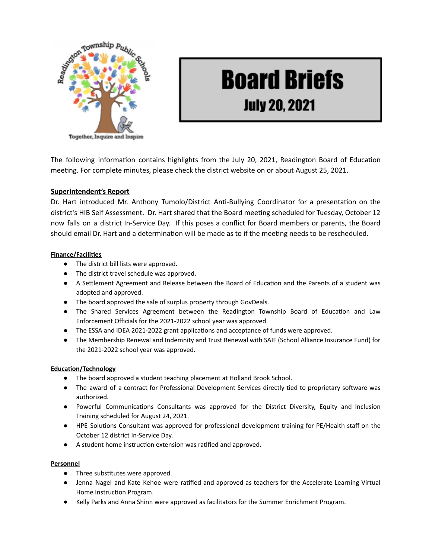

# **Board Briefs July 20, 2021**

The following information contains highlights from the July 20, 2021, Readington Board of Education meeting. For complete minutes, please check the district website on or about August 25, 2021.

## **Superintendent's Report**

Dr. Hart introduced Mr. Anthony Tumolo/District Anti-Bullying Coordinator for a presentation on the district's HIB Self Assessment. Dr. Hart shared that the Board meeting scheduled for Tuesday, October 12 now falls on a district In-Service Day. If this poses a conflict for Board members or parents, the Board should email Dr. Hart and a determination will be made as to if the meeting needs to be rescheduled.

### **Finance/Facilities**

- The district bill lists were approved.
- The district travel schedule was approved.
- A Settlement Agreement and Release between the Board of Education and the Parents of a student was adopted and approved.
- The board approved the sale of surplus property through GovDeals.
- The Shared Services Agreement between the Readington Township Board of Education and Law Enforcement Officials for the 2021-2022 school year was approved.
- The ESSA and IDEA 2021-2022 grant applications and acceptance of funds were approved.
- The Membership Renewal and Indemnity and Trust Renewal with SAIF (School Alliance Insurance Fund) for the 2021-2022 school year was approved.

## **Education/Technology**

- The board approved a student teaching placement at Holland Brook School.
- The award of a contract for Professional Development Services directly tied to proprietary software was authorized.
- Powerful Communications Consultants was approved for the District Diversity, Equity and Inclusion Training scheduled for August 24, 2021.
- HPE Solutions Consultant was approved for professional development training for PE/Health staff on the October 12 district In-Service Day.
- A student home instruction extension was ratified and approved.

#### **Personnel**

- Three substitutes were approved.
- Jenna Nagel and Kate Kehoe were ratified and approved as teachers for the Accelerate Learning Virtual Home Instruction Program.
- Kelly Parks and Anna Shinn were approved as facilitators for the Summer Enrichment Program.